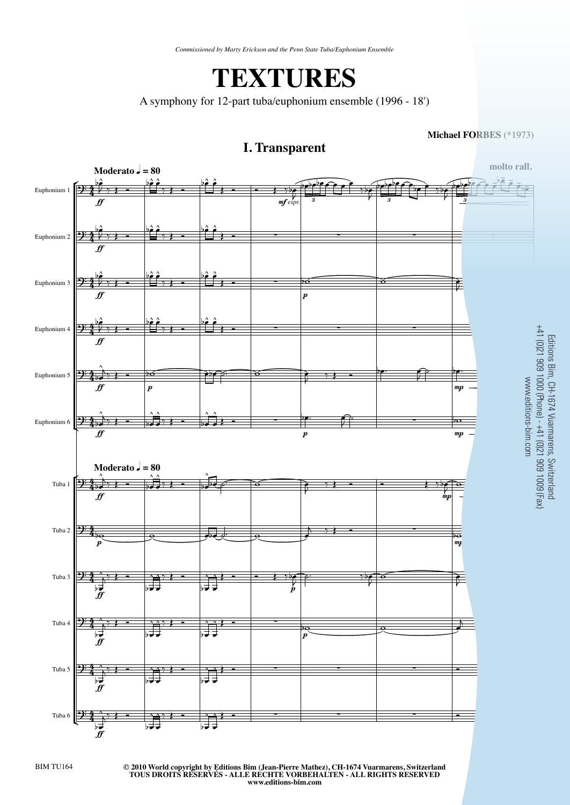## **TEXTURES**

A symphony for 12-part tuba/euphonium ensemble (1996 - 18')

**Michael FORBES** (\*1973)



**I. Transparent**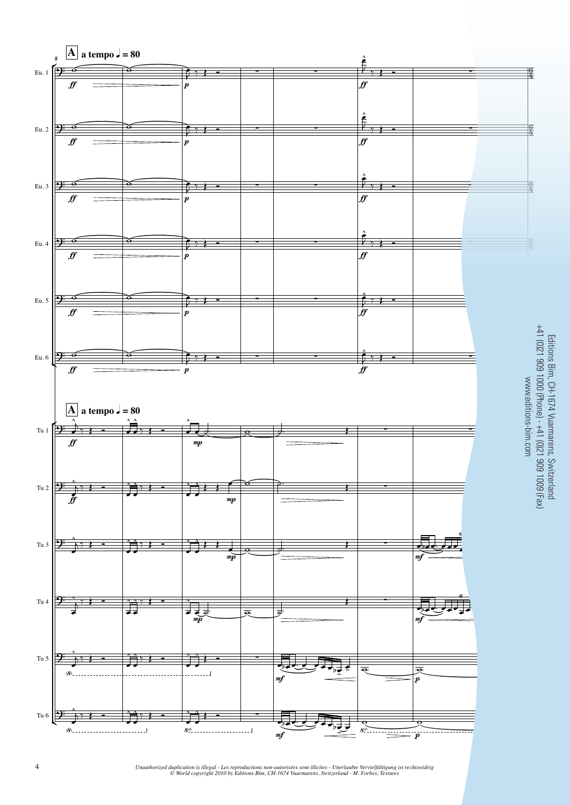

Unauthorized duplication is illegal - Les reproductions non-autorisées sont illicites - Unerlaubte Vervielfältigung ist rechtswidrig<br>© World copyright 2010 by Editions Bim, CH-1674 Vuarmarens, Switzerland - M. Forbes, Text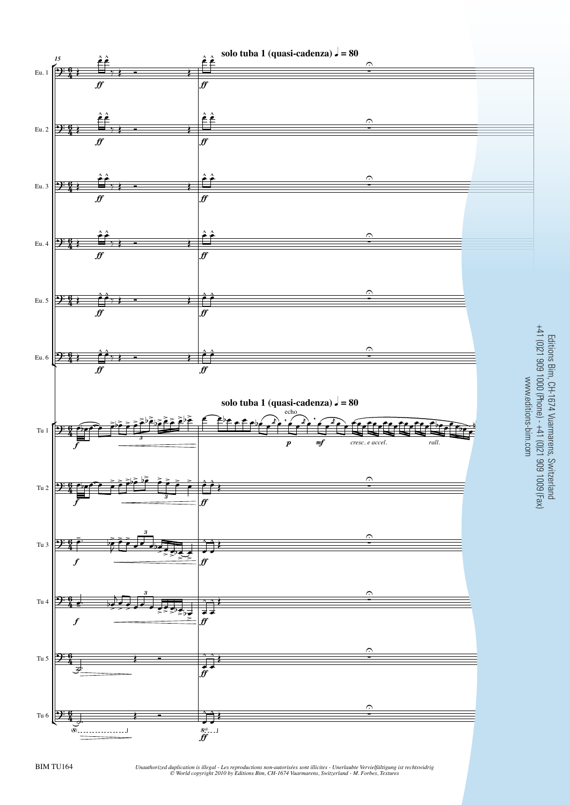

Unauthorized duplication is illegal - Les reproductions non-autorisées sont illicites - Unerlaubte Vervielfältigung ist rechtswidrig<br>© World copyright 2010 by Editions Bim, CH-1674 Vuarmarens, Switzerland - M. Forbes, Text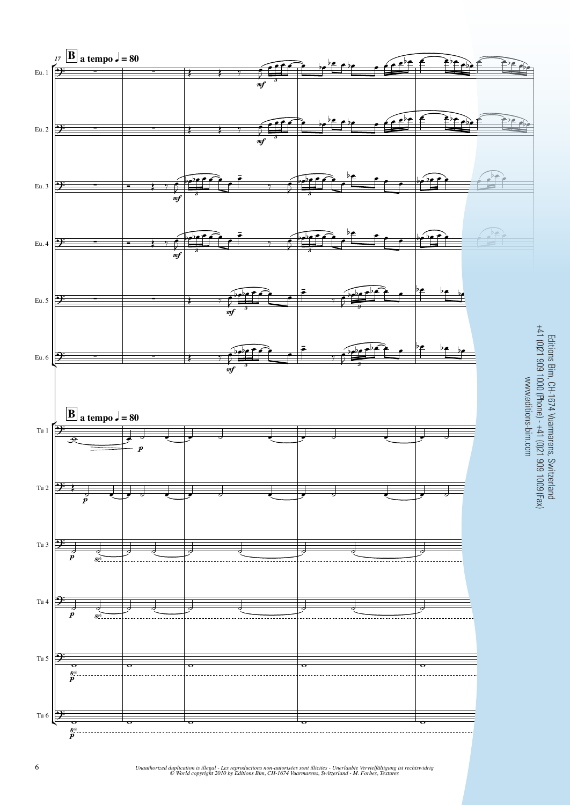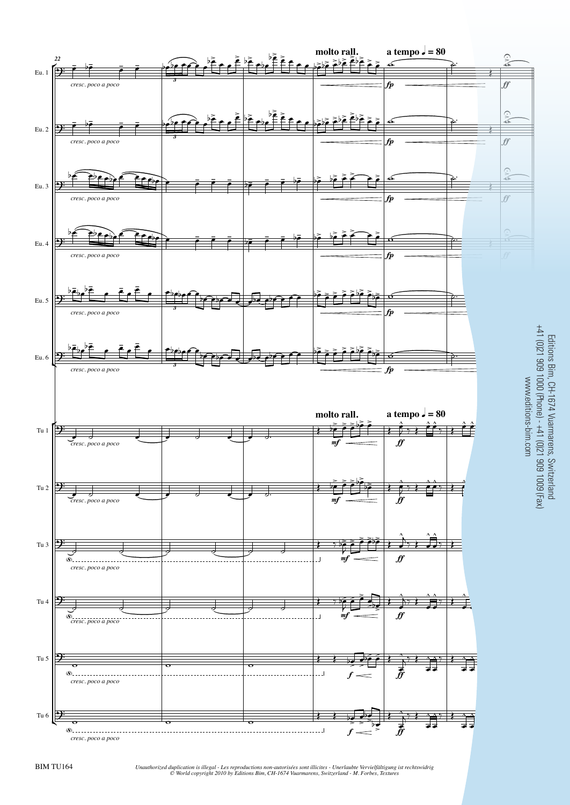

Unauthorized duplication is illegal - Les reproductions non-autorisées sont illicites - Unerlaubte Vervielfältigung ist rechtswidrig<br>© World copyright 2010 by Editions Bim, CH-1674 Vuarmarens, Switzerland - M. Forbes, Text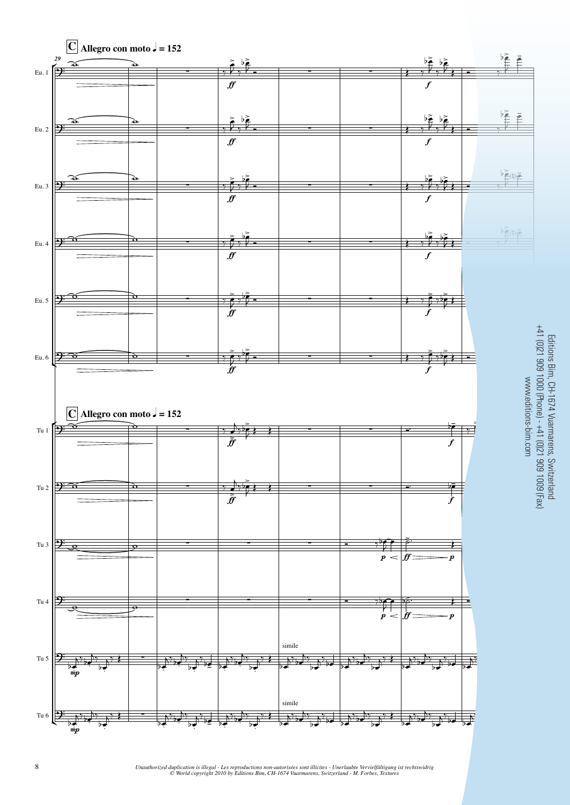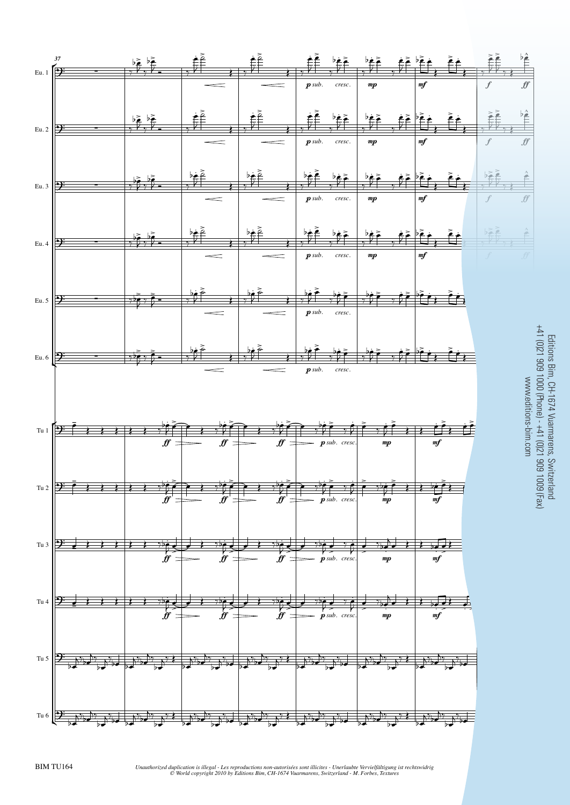

Unauthorized duplication is illegal - Les reproductions non-autorisées sont illicites - Unerlaubte Vervielfältigung ist rechtswidrig<br>© World copyright 2010 by Editions Bim, CH-1674 Vuarmarens, Switzerland - M. Forbes, Text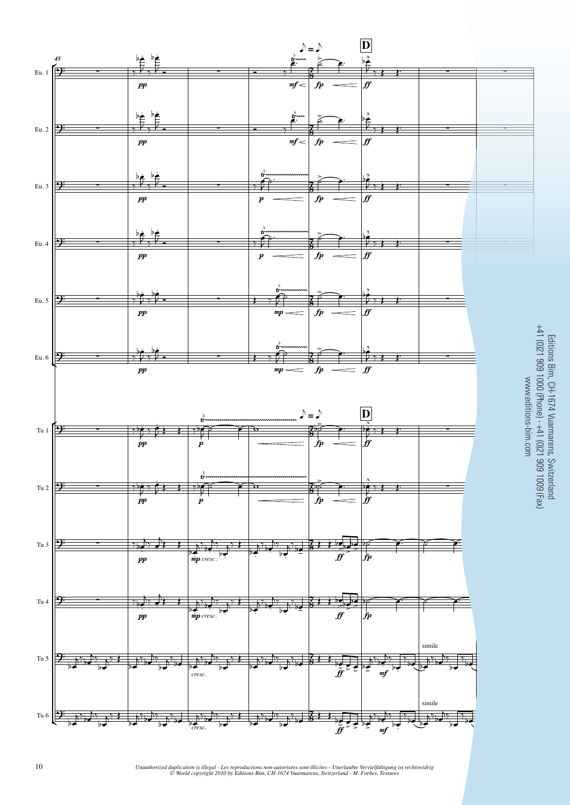

10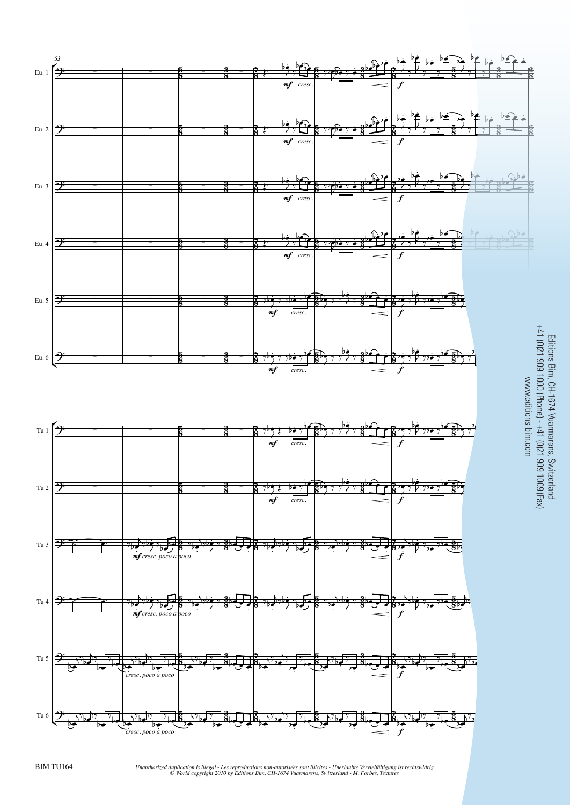

Unauthorized duplication is illegal - Les reproductions non-autorisées sont illicites - Unerlaubte Vervielfältigung ist rechtswidrig<br>© World copyright 2010 by Editions Bim, CH-1674 Vuarmarens, Switzerland - M. Forbes, Text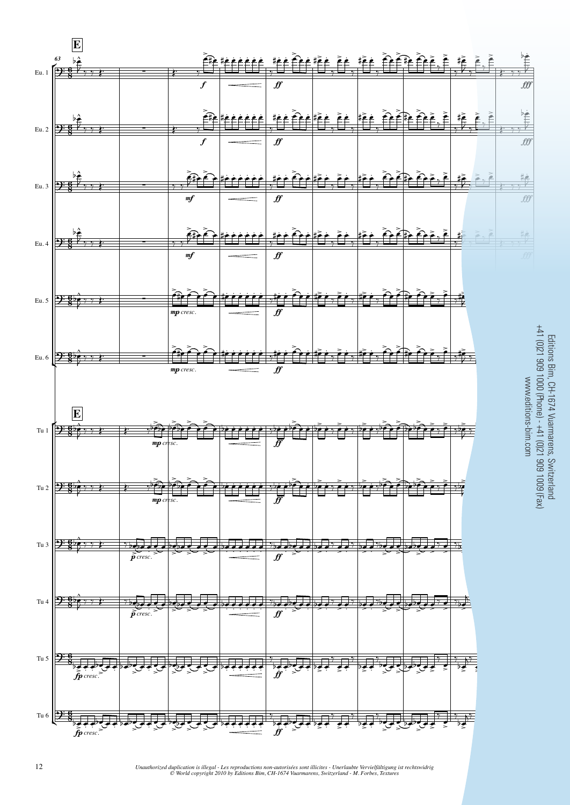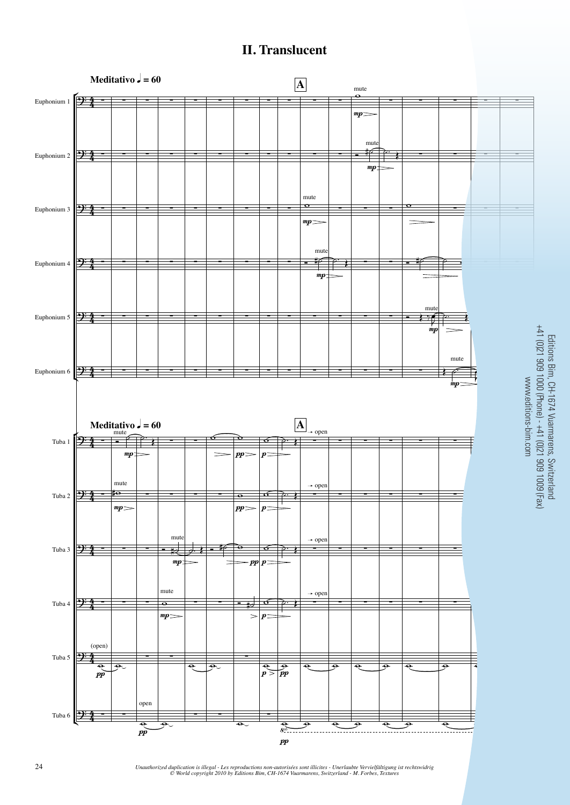## **II. Translucent**



Editions Bim, CH-1674 Vuarmarens, Switzerland<br>+41 (0)21 909 1000 (Phone) - +41 (0)21 909 1009 (Fax)<br>www.editions-bim.com Editions Bim, CH-1674 Vuarmarens, Switzerland +41 (0)21 909 1000 (Phone) - +41 (0)21 909 1009 (Fax)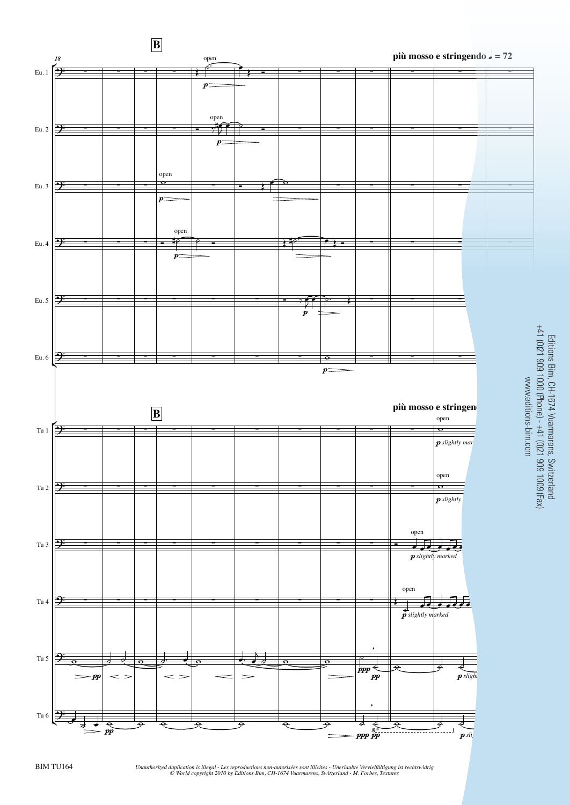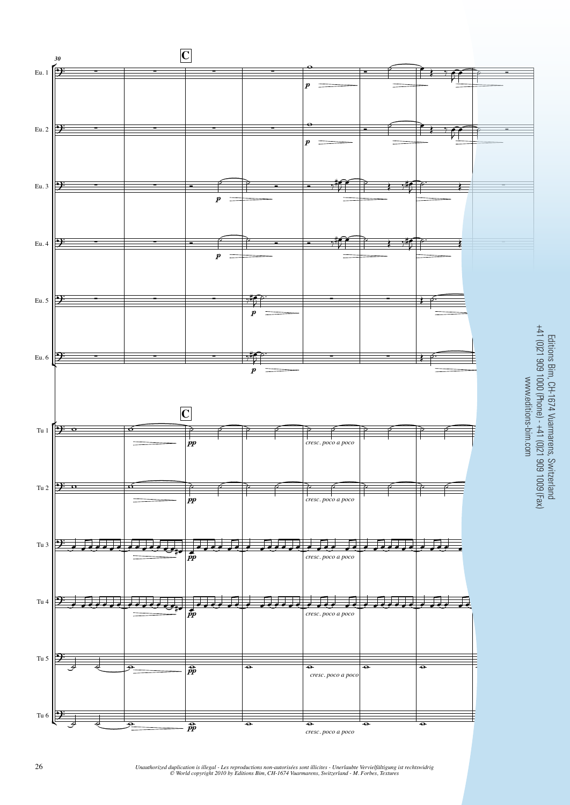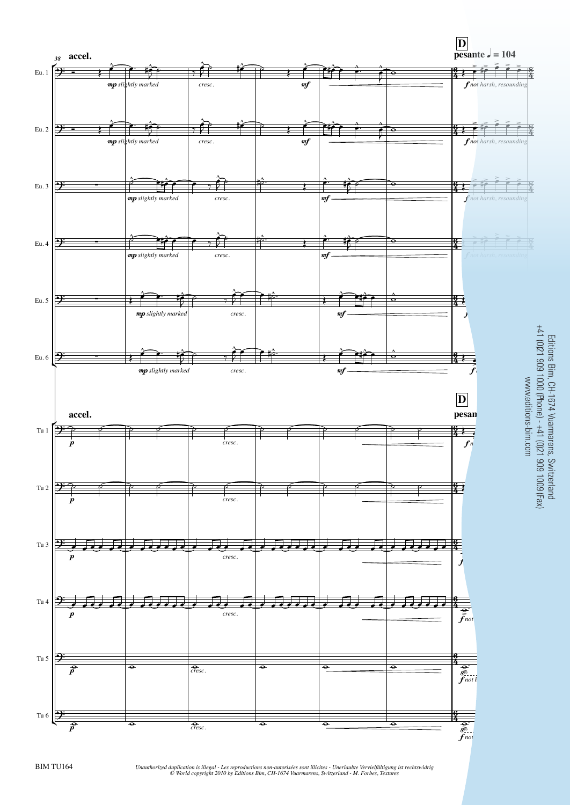

Unauthorized duplication is illegal - Les reproductions non-autorisées sont illicites - Unerlaubte Vervielfältigung ist rechtswidrig<br>© World copyright 2010 by Editions Bim, CH-1674 Vuarmarens, Switzerland - M. Forbes, Text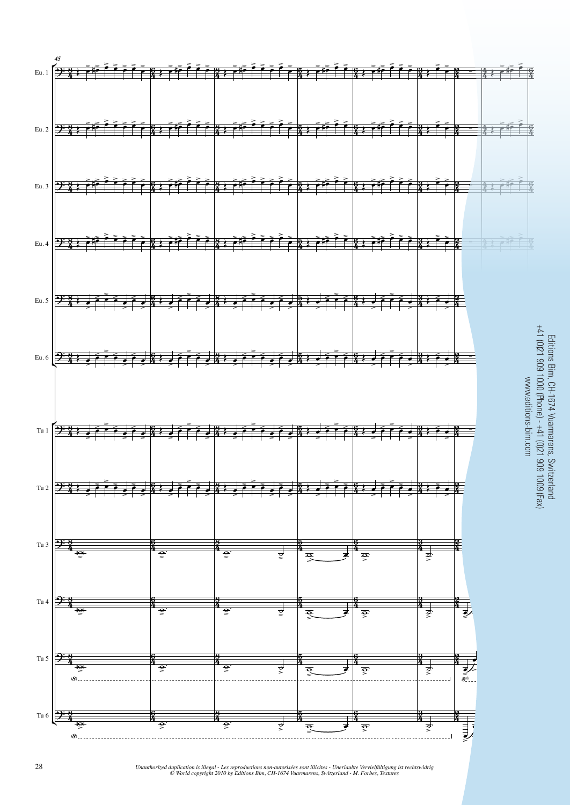

28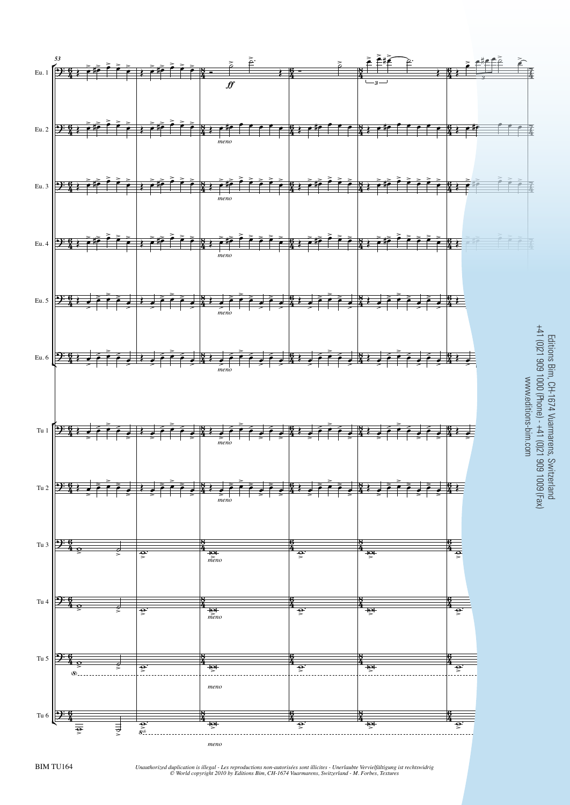

Unauthorized duplication is illegal - Les reproductions non-autorisées sont illicites - Unerlaubte Vervielfältigung ist rechtswidrig<br>© World copyright 2010 by Editions Bim, CH-1674 Vuarmarens, Switzerland - M. Forbes, Text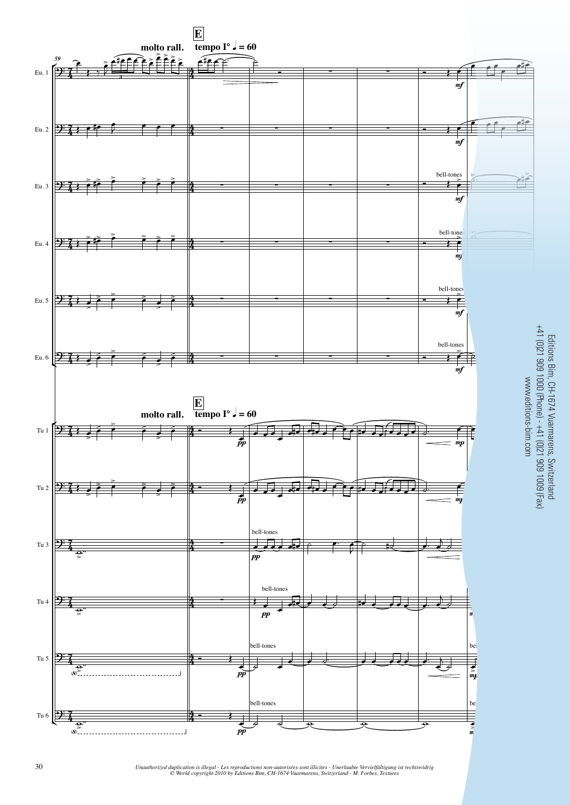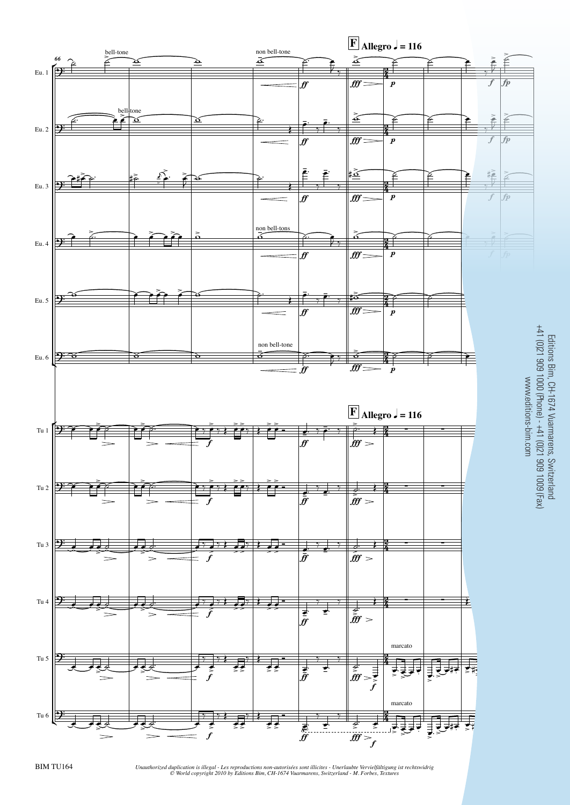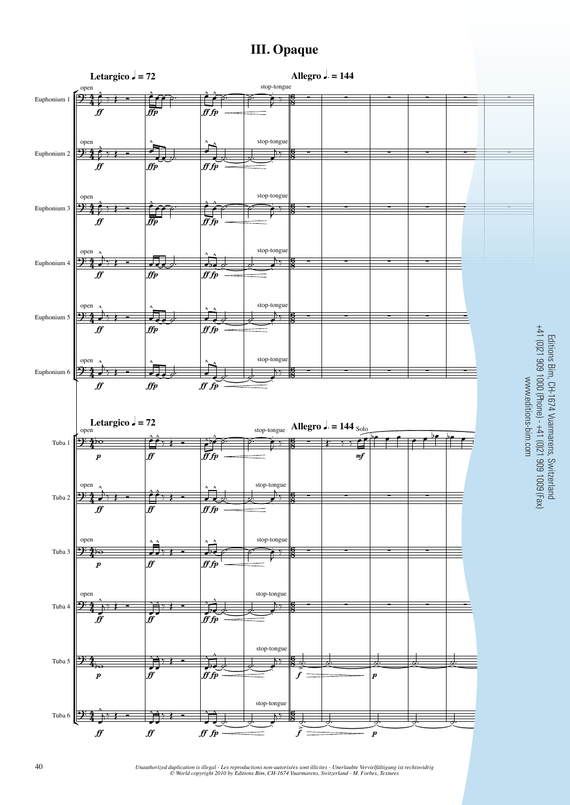## **III. Opaque**

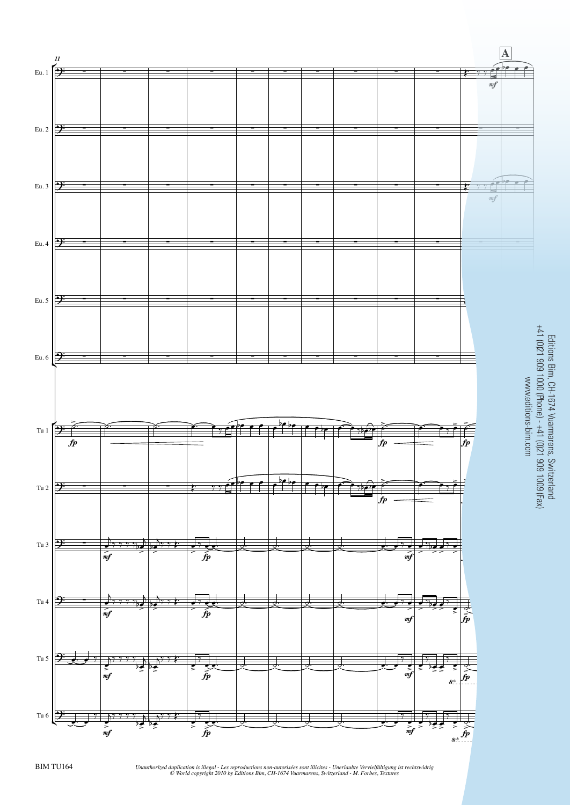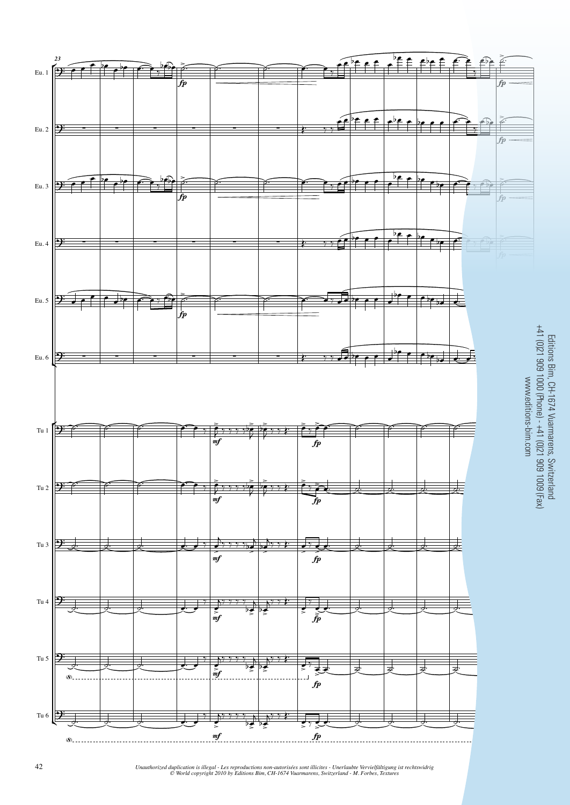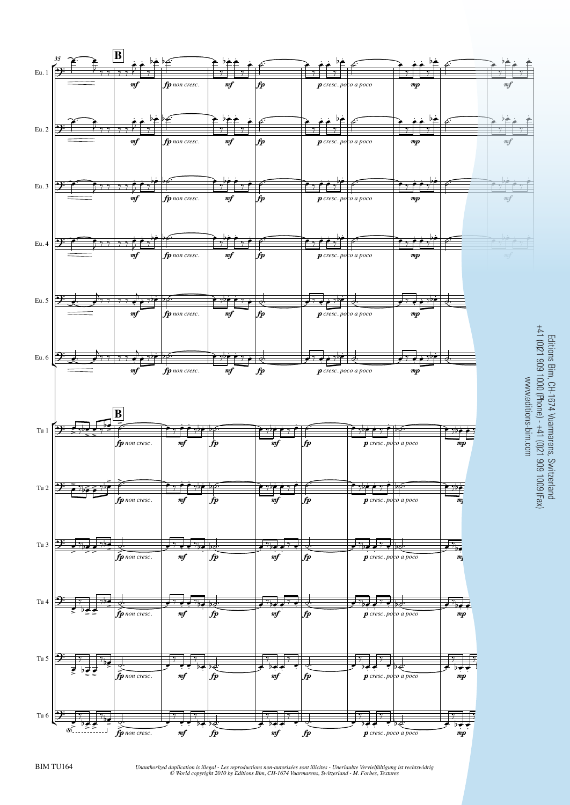

.<br>171 أراض<br>171 أراض

Unauthorized duplication is illegal - Les reproductions non-autorisées sont illicites - Unerlaubte Vervielfältigung ist rechtswidrig<br>© World copyright 2010 by Editions Bim, CH-1674 Vuarmarens, Switzerland - M. Forbes, Text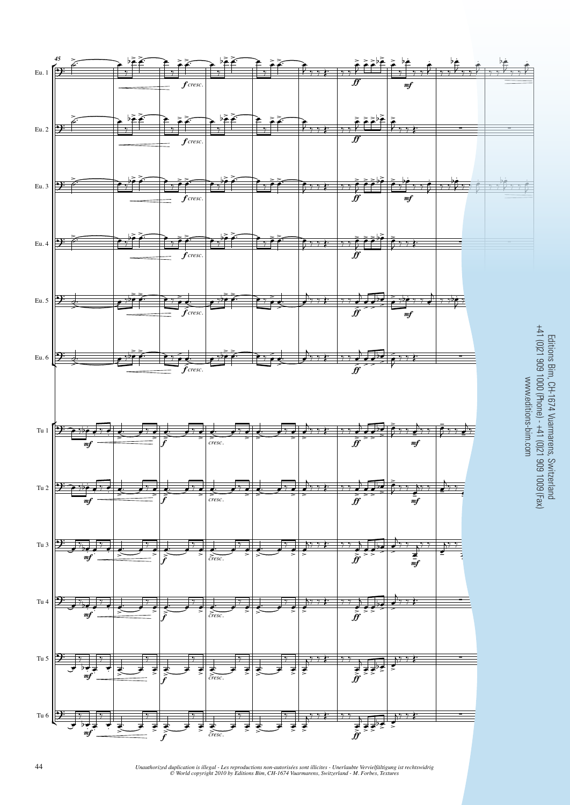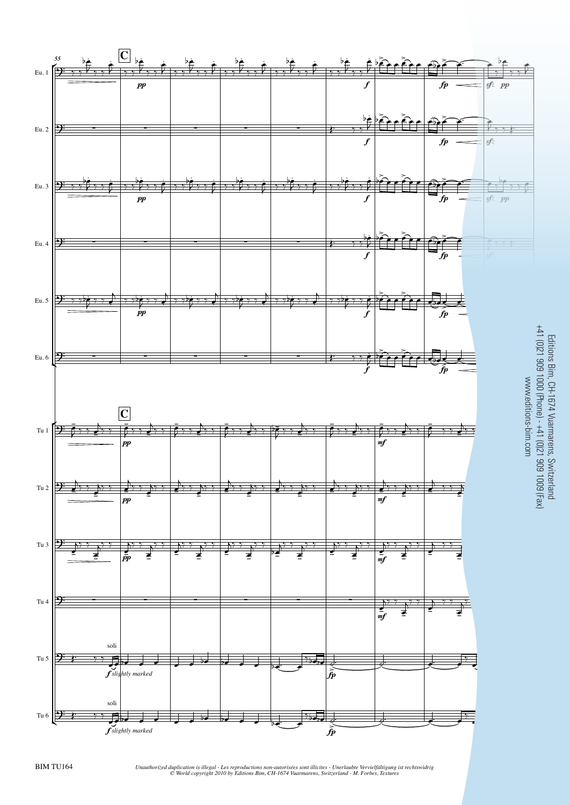

Unauthorized duplication is illegal - Les reproductions non-autorisées sont illicites - Unerlaubte Vervielfältigung ist rechtswidrig<br>© World copyright 2010 by Editions Bim, CH-1674 Vuarmarens, Switzerland - M. Forbes, Text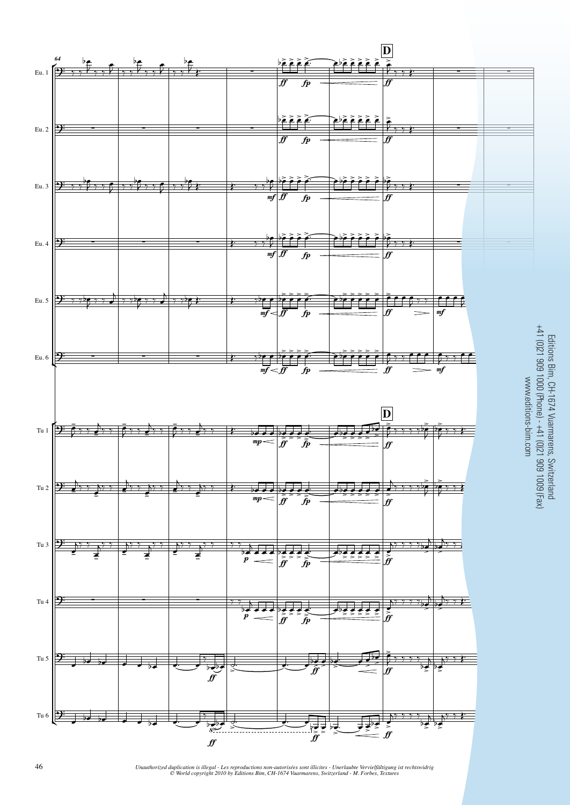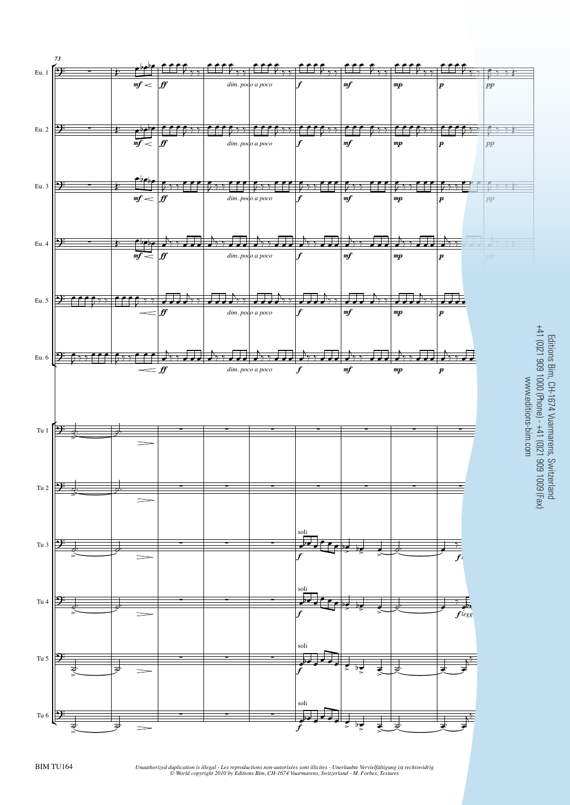

Unauthorized duplication is illegal - Les reproductions non-autorisées sont illicites - Unerlaubte Vervielfältigung ist rechtswidrig<br>© World copyright 2010 by Editions Bim, CH-1674 Vuarmarens, Switzerland - M. Forbes, Text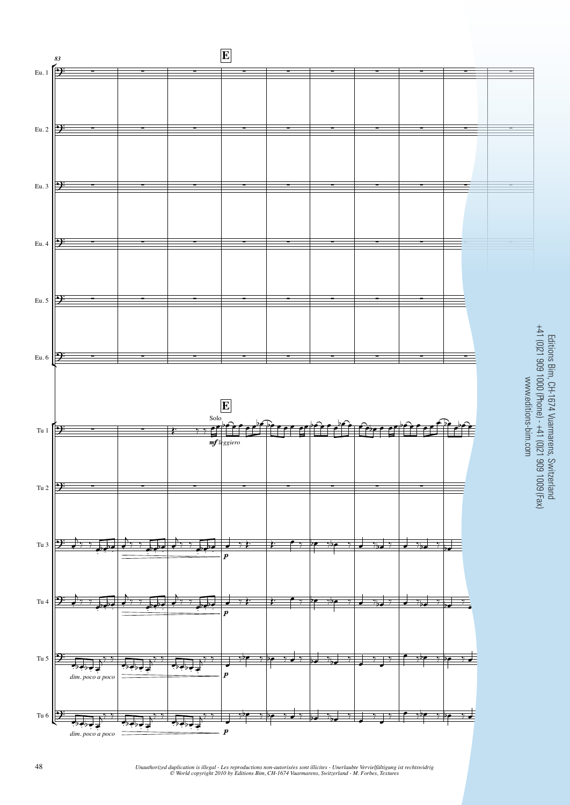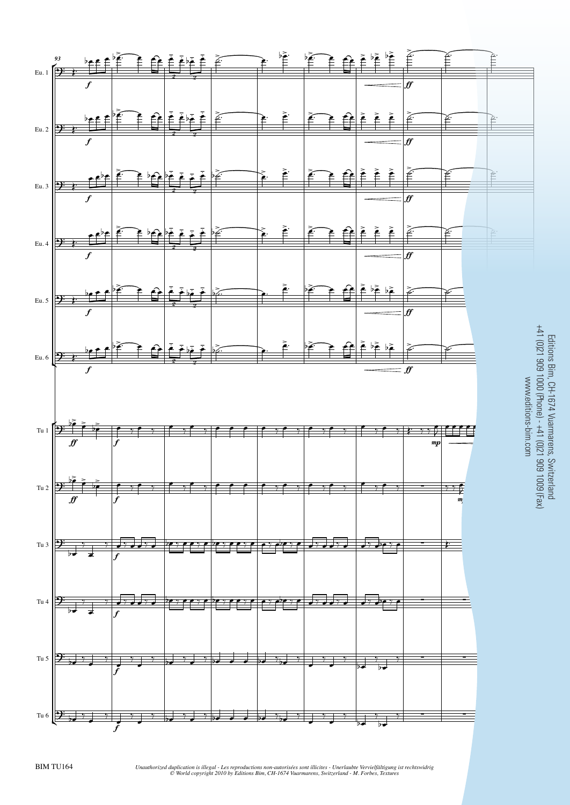

Unauthorized duplication is illegal - Les reproductions non-autorisées sont illicites - Unerlaubte Vervielfältigung ist rechtswidrig<br>© World copyright 2010 by Editions Bim, CH-1674 Vuarmarens, Switzerland - M. Forbes, Text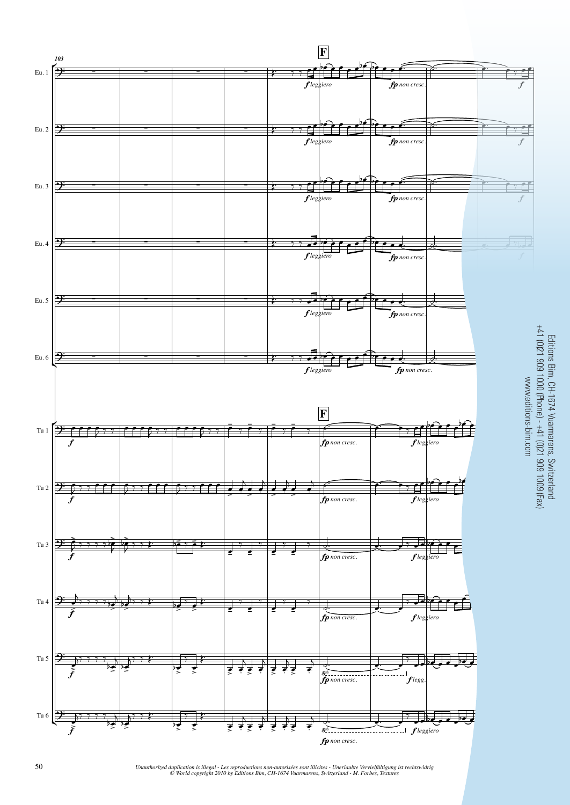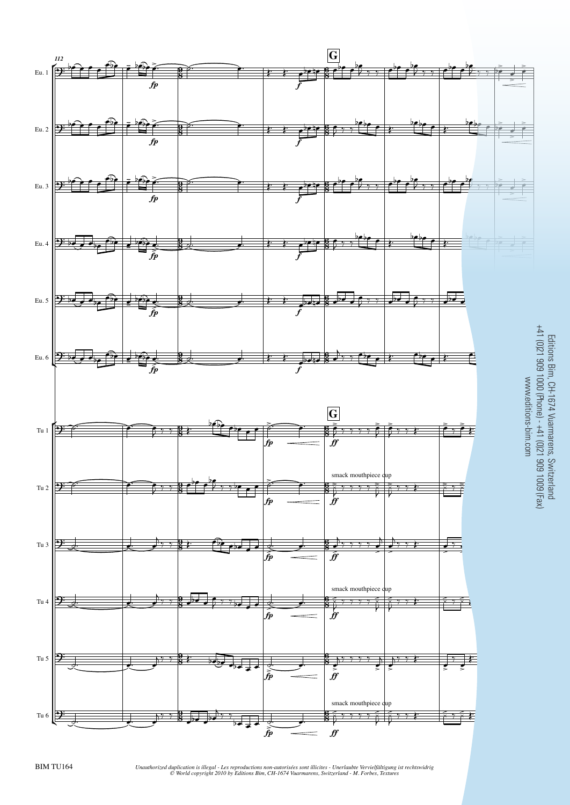

∑ं ‡ ≣